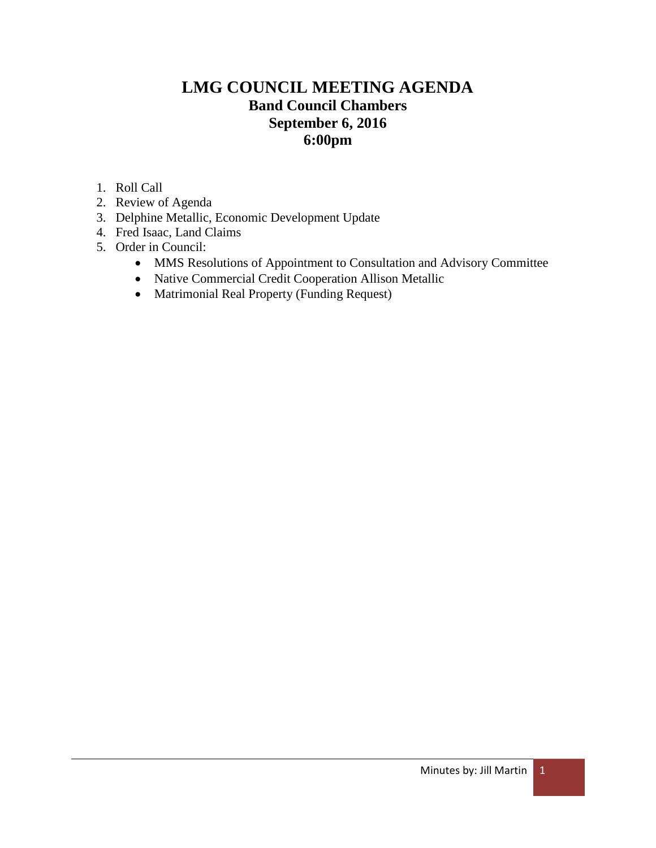# **LMG COUNCIL MEETING AGENDA Band Council Chambers September 6, 2016 6:00pm**

- 1. Roll Call
- 2. Review of Agenda
- 3. Delphine Metallic, Economic Development Update
- 4. Fred Isaac, Land Claims
- 5. Order in Council:
	- MMS Resolutions of Appointment to Consultation and Advisory Committee
	- Native Commercial Credit Cooperation Allison Metallic
	- Matrimonial Real Property (Funding Request)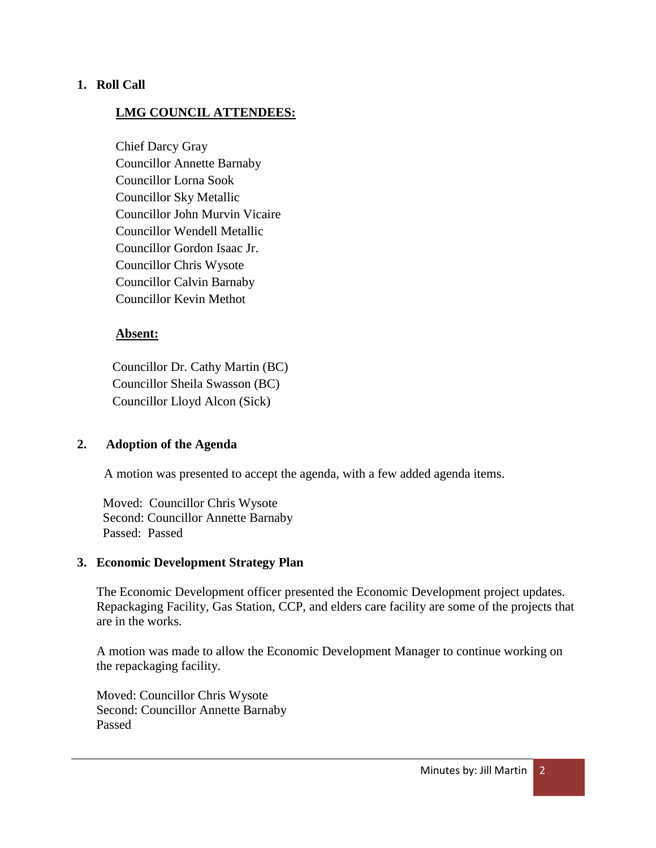### **1. Roll Call**

### **LMG COUNCIL ATTENDEES:**

Chief Darcy Gray Councillor Annette Barnaby Councillor Lorna Sook Councillor Sky Metallic Councillor John Murvin Vicaire Councillor Wendell Metallic Councillor Gordon Isaac Jr. Councillor Chris Wysote Councillor Calvin Barnaby Councillor Kevin Methot

### **Absent:**

 Councillor Dr. Cathy Martin (BC) Councillor Sheila Swasson (BC) Councillor Lloyd Alcon (Sick)

### **2. Adoption of the Agenda**

A motion was presented to accept the agenda, with a few added agenda items.

 Moved: Councillor Chris Wysote Second: Councillor Annette Barnaby Passed: Passed

### **3. Economic Development Strategy Plan**

The Economic Development officer presented the Economic Development project updates. Repackaging Facility, Gas Station, CCP, and elders care facility are some of the projects that are in the works.

A motion was made to allow the Economic Development Manager to continue working on the repackaging facility.

Moved: Councillor Chris Wysote Second: Councillor Annette Barnaby Passed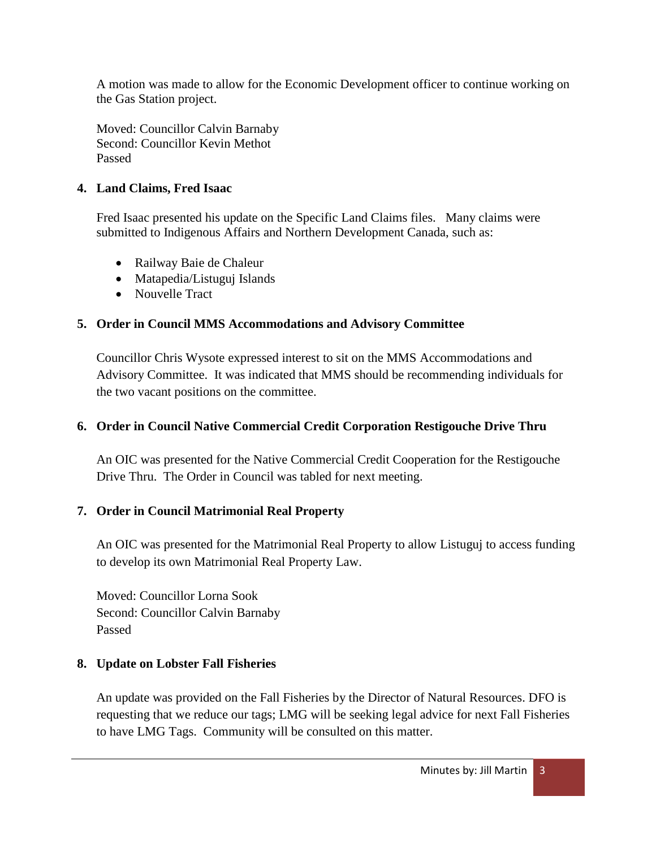A motion was made to allow for the Economic Development officer to continue working on the Gas Station project.

Moved: Councillor Calvin Barnaby Second: Councillor Kevin Methot Passed

### **4. Land Claims, Fred Isaac**

Fred Isaac presented his update on the Specific Land Claims files. Many claims were submitted to Indigenous Affairs and Northern Development Canada, such as:

- Railway Baie de Chaleur
- Matapedia/Listuguj Islands
- Nouvelle Tract

## **5. Order in Council MMS Accommodations and Advisory Committee**

Councillor Chris Wysote expressed interest to sit on the MMS Accommodations and Advisory Committee. It was indicated that MMS should be recommending individuals for the two vacant positions on the committee.

## **6. Order in Council Native Commercial Credit Corporation Restigouche Drive Thru**

An OIC was presented for the Native Commercial Credit Cooperation for the Restigouche Drive Thru. The Order in Council was tabled for next meeting.

## **7. Order in Council Matrimonial Real Property**

An OIC was presented for the Matrimonial Real Property to allow Listuguj to access funding to develop its own Matrimonial Real Property Law.

Moved: Councillor Lorna Sook Second: Councillor Calvin Barnaby Passed

## **8. Update on Lobster Fall Fisheries**

An update was provided on the Fall Fisheries by the Director of Natural Resources. DFO is requesting that we reduce our tags; LMG will be seeking legal advice for next Fall Fisheries to have LMG Tags. Community will be consulted on this matter.